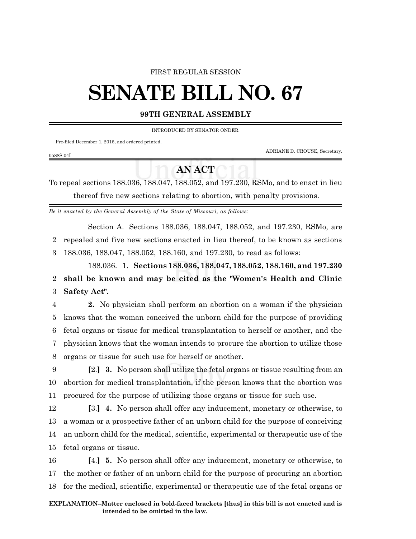## FIRST REGULAR SESSION

## **SENATE BILL NO. 67**

## **99TH GENERAL ASSEMBLY**

INTRODUCED BY SENATOR ONDER.

Pre-filed December 1, 2016, and ordered printed.

0588S.04I

ADRIANE D. CROUSE, Secretary.

## **AN ACT**

To repeal sections 188.036, 188.047, 188.052, and 197.230, RSMo, and to enact in lieu thereof five new sections relating to abortion, with penalty provisions.

*Be it enacted by the General Assembly of the State of Missouri, as follows:*

Section A. Sections 188.036, 188.047, 188.052, and 197.230, RSMo, are

2 repealed and five new sections enacted in lieu thereof, to be known as sections

3 188.036, 188.047, 188.052, 188.160, and 197.230, to read as follows:

188.036. 1. **Sections 188.036, 188.047, 188.052, 188.160, and 197.230** 2 **shall be known and may be cited as the "Women's Health and Clinic** 3 **Safety Act".**

 **2.** No physician shall perform an abortion on a woman if the physician knows that the woman conceived the unborn child for the purpose of providing fetal organs or tissue for medical transplantation to herself or another, and the physician knows that the woman intends to procure the abortion to utilize those organs or tissue for such use for herself or another.

9 **[**2.**] 3.** No person shall utilize the fetal organs or tissue resulting from an 10 abortion for medical transplantation, if the person knows that the abortion was 11 procured for the purpose of utilizing those organs or tissue for such use.

 **[**3.**] 4.** No person shall offer any inducement, monetary or otherwise, to a woman or a prospective father of an unborn child for the purpose of conceiving an unborn child for the medical, scientific, experimental or therapeutic use of the fetal organs or tissue.

16 **[**4.**] 5.** No person shall offer any inducement, monetary or otherwise, to 17 the mother or father of an unborn child for the purpose of procuring an abortion 18 for the medical, scientific, experimental or therapeutic use of the fetal organs or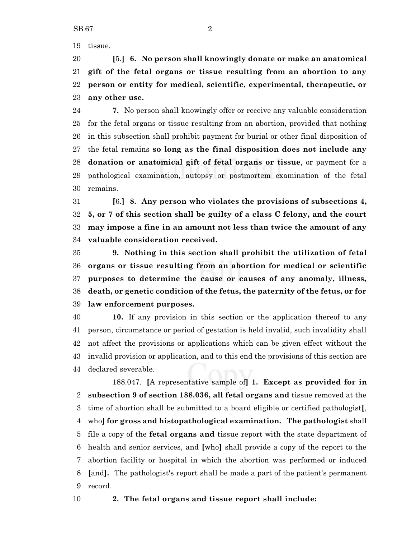tissue.

 **[**5.**] 6. No person shall knowingly donate or make an anatomical gift of the fetal organs or tissue resulting from an abortion to any person or entity for medical, scientific, experimental, therapeutic, or any other use.**

 **7.** No person shall knowingly offer or receive any valuable consideration for the fetal organs or tissue resulting from an abortion, provided that nothing in this subsection shall prohibit payment for burial or other final disposition of the fetal remains **so long as the final disposition does not include any donation or anatomical gift of fetal organs or tissue**, or payment for a pathological examination, autopsy or postmortem examination of the fetal remains.

 **[**6.**] 8. Any person who violates the provisions of subsections 4, 5, or 7 of this section shall be guilty of a class C felony, and the court may impose a fine in an amount not less than twice the amount of any valuable consideration received.**

 **9. Nothing in this section shall prohibit the utilization of fetal organs or tissue resulting from an abortion for medical or scientific purposes to determine the cause or causes of any anomaly, illness, death, or genetic condition of the fetus, the paternity of the fetus, or for law enforcement purposes.**

 **10.** If any provision in this section or the application thereof to any person, circumstance or period of gestation is held invalid, such invalidity shall not affect the provisions or applications which can be given effect without the invalid provision or application, and to this end the provisions of this section are declared severable.

188.047. **[**A representative sample of**] 1. Except as provided for in subsection 9 of section 188.036, all fetal organs and** tissue removed at the time of abortion shall be submitted to a board eligible or certified pathologist**[**, who**] for gross and histopathological examination. The pathologist** shall file a copy of the **fetal organs and** tissue report with the state department of health and senior services, and **[**who**]** shall provide a copy of the report to the abortion facility or hospital in which the abortion was performed or induced **[**and**].** The pathologist's report shall be made a part of the patient's permanent record.

**2. The fetal organs and tissue report shall include:**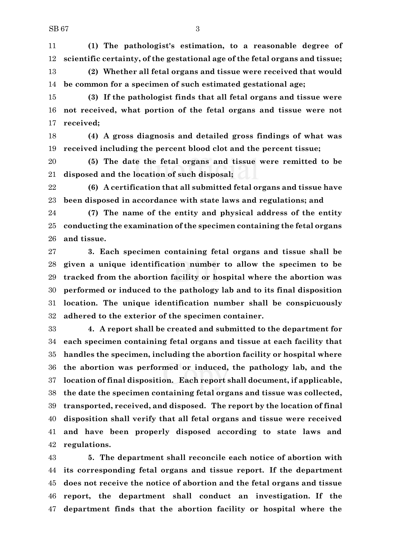**(1) The pathologist's estimation, to a reasonable degree of scientific certainty, of the gestational age of the fetal organs and tissue;**

 **(2) Whether all fetal organs and tissue were received that would be common for a specimen of such estimated gestational age;**

 **(3) If the pathologist finds that all fetal organs and tissue were not received, what portion of the fetal organs and tissue were not received;**

 **(4) A gross diagnosis and detailed gross findings of what was received including the percent blood clot and the percent tissue;**

 **(5) The date the fetal organs and tissue were remitted to be disposed and the location of such disposal;**

 **(6) A certification that all submitted fetal organs and tissue have been disposed in accordance with state laws and regulations; and**

 **(7) The name of the entity and physical address of the entity conducting the examination of the specimen containing the fetal organs and tissue.**

 **3. Each specimen containing fetal organs and tissue shall be given a unique identification number to allow the specimen to be tracked from the abortion facility or hospital where the abortion was performed or induced to the pathology lab and to its final disposition location. The unique identification number shall be conspicuously adhered to the exterior of the specimen container.**

 **4. A report shall be created and submitted to the department for each specimen containing fetal organs and tissue at each facility that handles the specimen, including the abortion facility or hospital where the abortion was performed or induced, the pathology lab, and the location of final disposition. Each report shall document, if applicable, the date the specimen containing fetal organs and tissue was collected, transported, received, and disposed. The report by the location of final disposition shall verify that all fetal organs and tissue were received and have been properly disposed according to state laws and regulations.**

 **5. The department shall reconcile each notice of abortion with its corresponding fetal organs and tissue report. If the department does not receive the notice of abortion and the fetal organs and tissue report, the department shall conduct an investigation. If the department finds that the abortion facility or hospital where the**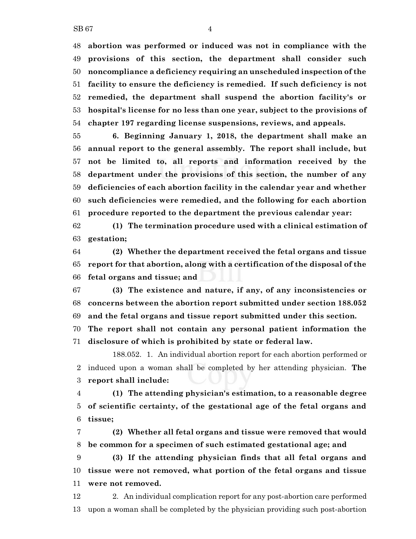**abortion was performed or induced was not in compliance with the provisions of this section, the department shall consider such noncompliance a deficiency requiring an unscheduled inspection of the facility to ensure the deficiency is remedied. If such deficiency is not remedied, the department shall suspend the abortion facility's or hospital's license for no less than one year, subject to the provisions of chapter 197 regarding license suspensions, reviews, and appeals.**

 **6. Beginning January 1, 2018, the department shall make an annual report to the general assembly. The report shall include, but not be limited to, all reports and information received by the department under the provisions of this section, the number of any deficiencies of each abortion facility in the calendar year and whether such deficiencies were remedied, and the following for each abortion procedure reported to the department the previous calendar year:**

 **(1) The termination procedure used with a clinical estimation of gestation;**

 **(2) Whether the department received the fetal organs and tissue report for that abortion, along with a certification of the disposal of the fetal organs and tissue; and**

 **(3) The existence and nature, if any, of any inconsistencies or concerns between the abortion report submitted under section 188.052 and the fetal organs and tissue report submitted under this section.**

 **The report shall not contain any personal patient information the disclosure of which is prohibited by state or federal law.**

188.052. 1. An individual abortion report for each abortion performed or induced upon a woman shall be completed by her attending physician. **The report shall include:**

 **(1) The attending physician's estimation, to a reasonable degree of scientific certainty, of the gestational age of the fetal organs and tissue;**

 **(2) Whether all fetal organs and tissue were removed that would be common for a specimen of such estimated gestational age; and**

 **(3) If the attending physician finds that all fetal organs and tissue were not removed, what portion of the fetal organs and tissue were not removed.**

 2. An individual complication report for any post-abortion care performed upon a woman shall be completed by the physician providing such post-abortion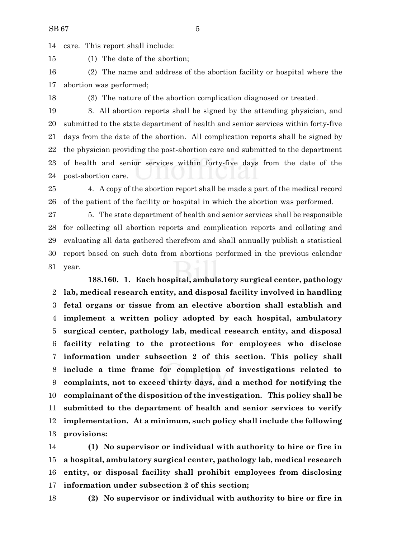care. This report shall include:

(1) The date of the abortion;

 (2) The name and address of the abortion facility or hospital where the abortion was performed;

(3) The nature of the abortion complication diagnosed or treated.

 3. All abortion reports shall be signed by the attending physician, and submitted to the state department of health and senior services within forty-five days from the date of the abortion. All complication reports shall be signed by the physician providing the post-abortion care and submitted to the department of health and senior services within forty-five days from the date of the post-abortion care.

 4. A copy of the abortion report shall be made a part of the medical record of the patient of the facility or hospital in which the abortion was performed.

 5. The state department of health and senior services shall be responsible for collecting all abortion reports and complication reports and collating and evaluating all data gathered therefrom and shall annually publish a statistical report based on such data from abortions performed in the previous calendar year.

**188.160. 1. Each hospital, ambulatory surgical center, pathology lab, medical research entity, and disposal facility involved in handling fetal organs or tissue from an elective abortion shall establish and implement a written policy adopted by each hospital, ambulatory surgical center, pathology lab, medical research entity, and disposal facility relating to the protections for employees who disclose information under subsection 2 of this section. This policy shall include a time frame for completion of investigations related to complaints, not to exceed thirty days, and a method for notifying the complainant of the disposition of the investigation. This policy shall be submitted to the department of health and senior services to verify implementation. At a minimum, such policy shall include the following provisions:**

 **(1) No supervisor or individual with authority to hire or fire in a hospital, ambulatory surgical center, pathology lab, medical research entity, or disposal facility shall prohibit employees from disclosing information under subsection 2 of this section;**

**(2) No supervisor or individual with authority to hire or fire in**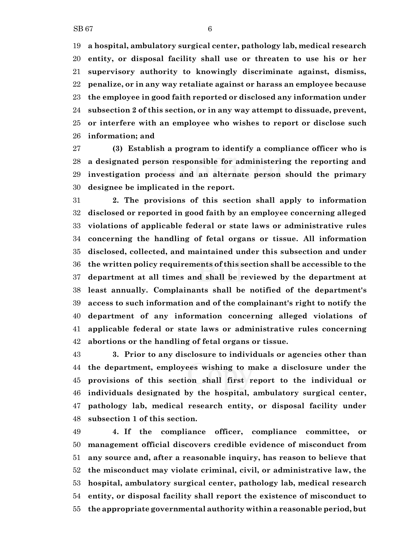**a hospital, ambulatory surgical center, pathology lab, medical research entity, or disposal facility shall use or threaten to use his or her supervisory authority to knowingly discriminate against, dismiss, penalize, or in any way retaliate against or harass an employee because the employee in good faith reported or disclosed any information under subsection 2 of this section, or in any way attempt to dissuade, prevent, or interfere with an employee who wishes to report or disclose such information; and**

 **(3) Establish a program to identify a compliance officer who is a designated person responsible for administering the reporting and investigation process and an alternate person should the primary designee be implicated in the report.**

 **2. The provisions of this section shall apply to information disclosed or reported in good faith by an employee concerning alleged violations of applicable federal or state laws or administrative rules concerning the handling of fetal organs or tissue. All information disclosed, collected, and maintained under this subsection and under the written policy requirements of this section shall be accessible to the department at all times and shall be reviewed by the department at least annually. Complainants shall be notified of the department's access to such information and of the complainant's right to notify the department of any information concerning alleged violations of applicable federal or state laws or administrative rules concerning abortions or the handling of fetal organs or tissue.**

 **3. Prior to any disclosure to individuals or agencies other than the department, employees wishing to make a disclosure under the provisions of this section shall first report to the individual or individuals designated by the hospital, ambulatory surgical center, pathology lab, medical research entity, or disposal facility under subsection 1 of this section.**

 **4. If the compliance officer, compliance committee, or management official discovers credible evidence of misconduct from any source and, after a reasonable inquiry, has reason to believe that the misconduct may violate criminal, civil, or administrative law, the hospital, ambulatory surgical center, pathology lab, medical research entity, or disposal facility shall report the existence of misconduct to the appropriate governmental authority within a reasonable period, but**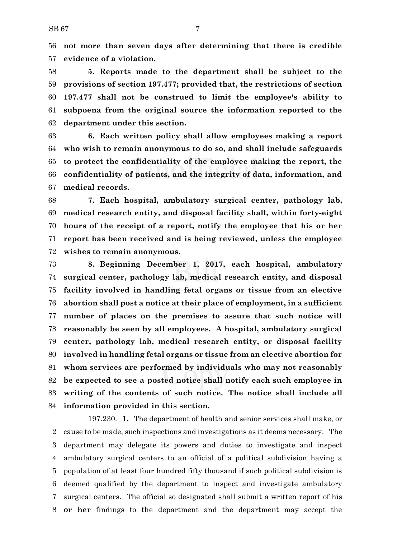**not more than seven days after determining that there is credible evidence of a violation.**

 **5. Reports made to the department shall be subject to the provisions of section 197.477; provided that, the restrictions of section 197.477 shall not be construed to limit the employee's ability to subpoena from the original source the information reported to the department under this section.**

 **6. Each written policy shall allow employees making a report who wish to remain anonymous to do so, and shall include safeguards to protect the confidentiality of the employee making the report, the confidentiality of patients, and the integrity of data, information, and medical records.**

 **7. Each hospital, ambulatory surgical center, pathology lab, medical research entity, and disposal facility shall, within forty-eight hours of the receipt of a report, notify the employee that his or her report has been received and is being reviewed, unless the employee wishes to remain anonymous.**

 **8. Beginning December 1, 2017, each hospital, ambulatory surgical center, pathology lab, medical research entity, and disposal facility involved in handling fetal organs or tissue from an elective abortion shall post a notice at their place of employment, in a sufficient number of places on the premises to assure that such notice will reasonably be seen by all employees. A hospital, ambulatory surgical center, pathology lab, medical research entity, or disposal facility involved in handling fetal organs or tissue from an elective abortion for whom services are performed by individuals who may not reasonably be expected to see a posted notice shall notify each such employee in writing of the contents of such notice. The notice shall include all information provided in this section.**

197.230. **1.** The department of health and senior services shall make, or cause to be made, such inspections and investigations as it deems necessary. The department may delegate its powers and duties to investigate and inspect ambulatory surgical centers to an official of a political subdivision having a population of at least four hundred fifty thousand if such political subdivision is deemed qualified by the department to inspect and investigate ambulatory surgical centers. The official so designated shall submit a written report of his **or her** findings to the department and the department may accept the